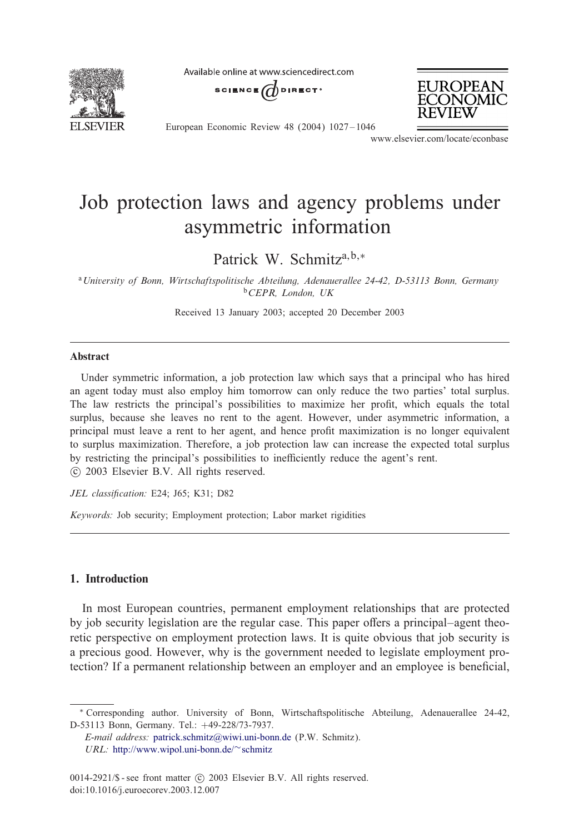

Available online at www.sciencedirect.com

SCIENCE  $\overrightarrow{a}$  direct<sup>®</sup>



European Economic Review 48 (2004) 1027 – 1046

www.elsevier.com/locate/econbase

## Job protection laws and agency problems under asymmetric information

Patrick W. Schmitz<sup>a,b,∗</sup>

<sup>a</sup>*University of Bonn, Wirtschaftspolitische Abteilung, Adenauerallee 24-42, D-53113 Bonn, Germany* <sup>b</sup>*CEPR, London, UK*

Received 13 January 2003; accepted 20 December 2003

### Abstract

Under symmetric information, a job protection law which says that a principal who has hired an agent today must also employ him tomorrow can only reduce the two parties' total surplus. The law restricts the principal's possibilities to maximize her profit, which equals the total surplus, because she leaves no rent to the agent. However, under asymmetric information, a principal must leave a rent to her agent, and hence profit maximization is no longer equivalent to surplus maximization. Therefore, a job protection law can increase the expected total surplus by restricting the principal's possibilities to inefficiently reduce the agent's rent. -c 2003 Elsevier B.V. All rights reserved.

*JEL classi)cation:* E24; J65; K31; D82

*Keywords:* Job security; Employment protection; Labor market rigidities

## 1. Introduction

In most European countries, permanent employment relationships that are protected by job security legislation are the regular case. This paper offers a principal–agent theoretic perspective on employment protection laws. It is quite obvious that job security is a precious good. However, why is the government needed to legislate employment pro-tection? [If a perm](http://www.wipol.uni-bonn.de/~schmitz)[anent](mailto:patrick.schmitz@wiwi.uni-bonn.de)[relationship](mailto:patrick.schmitz@wiwi.uni-bonn.de) [between](mailto:patrick.schmitz@wiwi.uni-bonn.de) an employer and an employee is beneficial,

<sup>∗</sup> Corresponding author. University of Bonn, Wirtschaftspolitische Abteilung, Adenauerallee 24-42, D-53113 Bonn, Germany. Tel.: +49-228/73-7937.

*E-mail address:* patrick.schmitz@wiwi.uni-bonn.de (P.W. Schmitz).

*URL:* http://www.wipol.uni-bonn.de/∼schmitz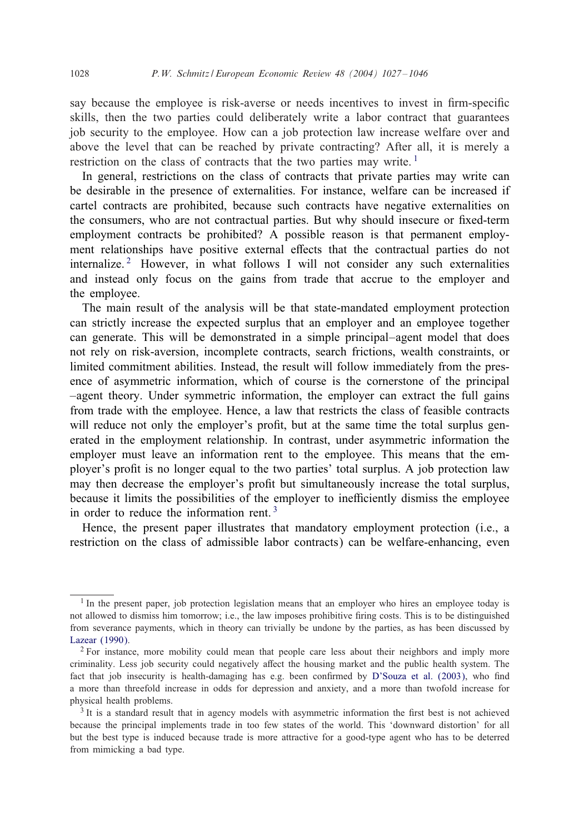### 1028 *P.W. Schmitz / European Economic Review 48 (2004) 1027 – 1046*

say because the employee is risk-averse or needs incentives to invest in firm-specific skills, then the two parties could deliberately write a labor contract that guarantees job security to the employee. How can a job protection law increase welfare over and above the level that can be reached by private contracting? After all, it is merely a restriction on the class of contracts that the two parties may write.<sup>1</sup>

In general, restrictions on the class of contracts that private parties may write can be desirable in the presence of externalities. For instance, welfare can be increased if cartel contracts are prohibited, because such contracts have negative externalities on the consumers, who are not contractual parties. But why should insecure or fixed-term employment contracts be prohibited? A possible reason is that permanent employment relationships have positive external effects that the contractual parties do not internalize.<sup>2</sup> However, in what follows I will not consider any such externalities and instead only focus on the gains from trade that accrue to the employer and the employee.

The main result of the analysis will be that state-mandated employment protection can strictly increase the expected surplus that an employer and an employee together can generate. This will be demonstrated in a simple principal–agent model that does not rely on risk-aversion, incomplete contracts, search frictions, wealth constraints, or limited commitment abilities. Instead, the result will follow immediately from the presence of asymmetric information, which of course is the cornerstone of the principal –agent theory. Under symmetric information, the employer can extract the full gains from trade with the employee. Hence, a law that restricts the class of feasible contracts will reduce not only the employer's profit, but at the same time the total surplus generatedin the employment relationship. In contrast, under asymmetric information the employer must leave an information rent to the employee. This means that the employer's profit is no longer equal to the two parties' total surplus. A job protection law may then decrease the employer's profit but simultaneously increase the total surplus, because it limits the possibilities of the employer to inefficiently dismiss the employee in order to reduce the information rent.<sup>3</sup>

Hence, the present paper illustrates that mandatory employment protection (i.e., a restriction on the class of admissible labor contracts) can be welfare-enhancing, even

 $<sup>1</sup>$  In the present paper, job protection legislation means that an employ[er who hires an employe](#page--1-0)e today is</sup> not allowed to dismiss him tomorrow; i.e., the law imposes prohibitive firing costs. This is to be distinguished from severance payments, which in theory can trivially be undone by the parties, as has been discussed by Lazear (1990).

<sup>&</sup>lt;sup>2</sup> For instance, more mobility could mean that people care less about their neighbors and imply more criminality. Less job security could negatively affect the housing market and the public health system. The fact that job insecurity is health-damaging has e.g. been confirmed by D'Souza et al. (2003), who find a more than threefold increase in odds for depression and anxiety, and a more than twofold increase for physical health problems.

 $3$  It is a standard result that in agency models with asymmetric information the first best is not achieved because the principal implements trade in too few states of the world. This 'downward distortion' for all but the best type is induced because trade is more attractive for a good-type agent who has to be deterred from mimicking a bad type.